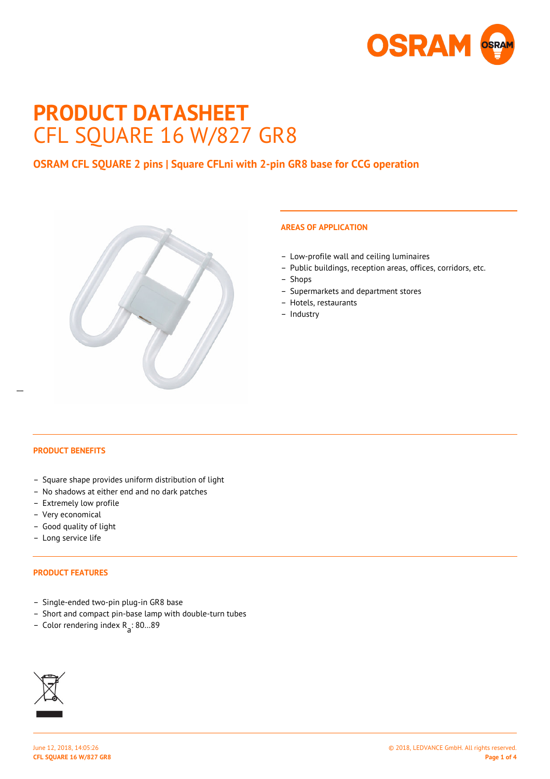

# **PRODUCT DATASHEET** CFL SQUARE 16 W/827 GR8

# **OSRAM CFL SQUARE 2 pins | Square CFLni with 2-pin GR8 base for CCG operation**



# **AREAS OF APPLICATION**

- Low-profile wall and ceiling luminaires
- Public buildings, reception areas, offices, corridors, etc.
- Shops
- Supermarkets and department stores
- Hotels, restaurants
- Industry

 $\overline{a}$ 

## **PRODUCT BENEFITS**

- Square shape provides uniform distribution of light
- No shadows at either end and no dark patches
- Extremely low profile
- Very economical
- Good quality of light
- Long service life

### **PRODUCT FEATURES**

- Single-ended two-pin plug-in GR8 base
- Short and compact pin-base lamp with double-turn tubes
- Color rendering index R<sub>a</sub>: 80...89

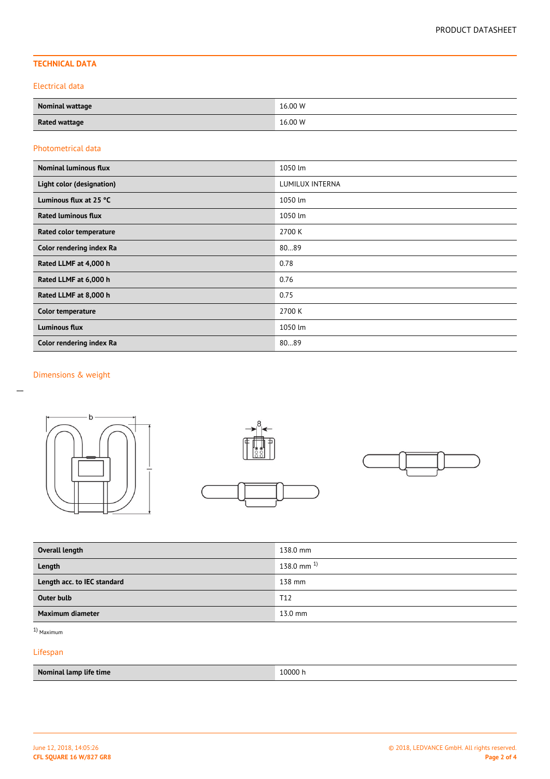# **TECHNICAL DATA**

#### Electrical data

| <b>Nominal wattage</b> | 16.00 W |
|------------------------|---------|
| <b>Rated wattage</b>   | 16.00 W |

#### Photometrical data

| <b>Nominal luminous flux</b> | 1050 lm         |
|------------------------------|-----------------|
| Light color (designation)    | LUMILUX INTERNA |
| Luminous flux at 25 °C       | 1050 lm         |
| <b>Rated luminous flux</b>   | 1050 lm         |
| Rated color temperature      | 2700 K          |
| Color rendering index Ra     | 8089            |
| Rated LLMF at 4,000 h        | 0.78            |
| Rated LLMF at 6,000 h        | 0.76            |
| Rated LLMF at 8,000 h        | 0.75            |
| Color temperature            | 2700 K          |
| <b>Luminous flux</b>         | 1050 lm         |
| Color rendering index Ra     | 8089            |

# Dimensions & weight







| Overall length              | 138.0 mm           |
|-----------------------------|--------------------|
| Length                      | $138.0$ mm $^{1)}$ |
| Length acc. to IEC standard | 138 mm             |
| <b>Outer bulb</b>           | T <sub>12</sub>    |
| Maximum diameter            | $13.0$ mm          |

1) Maximum

## Lifespan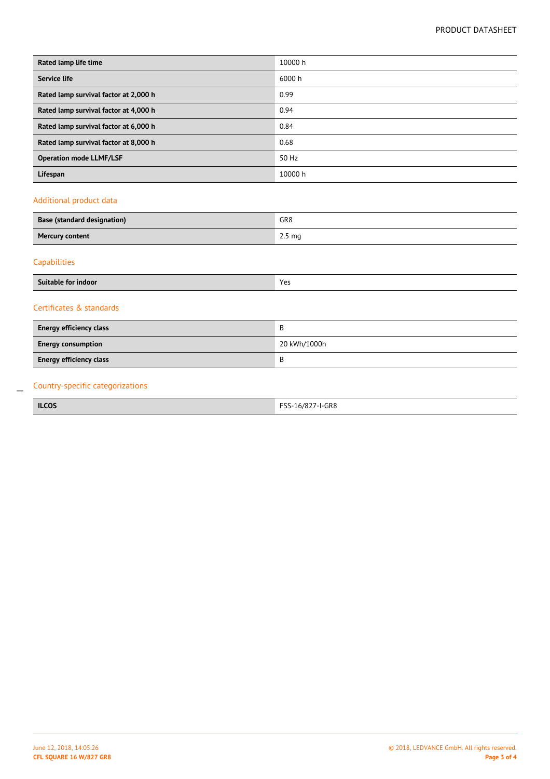| Rated lamp life time                  | 10000 h |  |
|---------------------------------------|---------|--|
| Service life                          | 6000 h  |  |
| Rated lamp survival factor at 2,000 h | 0.99    |  |
| Rated lamp survival factor at 4,000 h | 0.94    |  |
| Rated lamp survival factor at 6,000 h | 0.84    |  |
| Rated lamp survival factor at 8,000 h | 0.68    |  |
| <b>Operation mode LLMF/LSF</b>        | 50 Hz   |  |
| Lifespan                              | 10000 h |  |
| Additional product data               |         |  |

| <b>Base (standard designation)</b> | GR <sub>8</sub>   |
|------------------------------------|-------------------|
| <b>Mercury content</b>             | 2.5 <sub>mg</sub> |
|                                    |                   |

# Capabilities

 $\overline{a}$ 

| .                   | $V_{\alpha}$ |
|---------------------|--------------|
| Suitable for indoor | ີ.           |
|                     |              |

## Certificates & standards

| <b>Energy efficiency class</b> | В            |
|--------------------------------|--------------|
| <b>Energy consumption</b>      | 20 kWh/1000h |
| <b>Energy efficiency class</b> | В            |

# Country-specific categorizations

| <b>ILCOS</b> | 7-I-GR8<br>$- - -$<br>16/827<br>.<br>$\ddot{\phantom{1}}$<br>-- |
|--------------|-----------------------------------------------------------------|
|              |                                                                 |